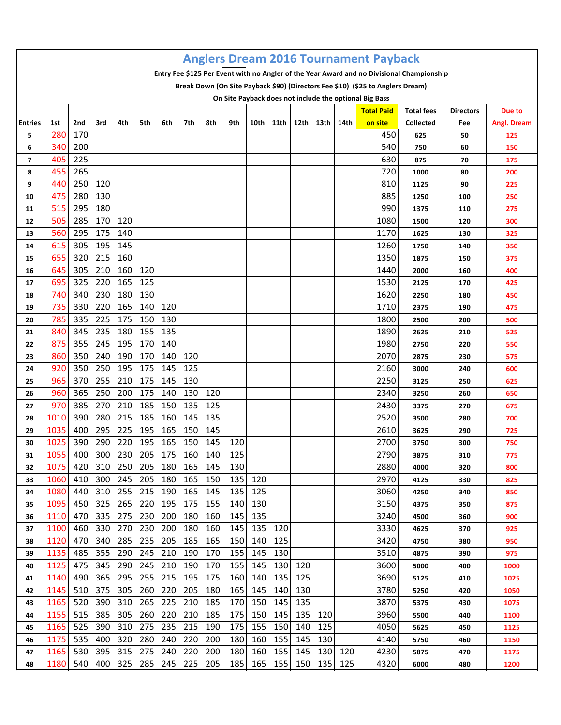| <b>Anglers Dream 2016 Tournament Payback</b><br>Entry Fee \$125 Per Event with no Angler of the Year Award and no Divisional Championship |              |            |            |            |            |            |            |            |            |            |            |            |      |      |                                                                                |                                       |                  |                    |
|-------------------------------------------------------------------------------------------------------------------------------------------|--------------|------------|------------|------------|------------|------------|------------|------------|------------|------------|------------|------------|------|------|--------------------------------------------------------------------------------|---------------------------------------|------------------|--------------------|
|                                                                                                                                           |              |            |            |            |            |            |            |            |            |            |            |            |      |      |                                                                                |                                       |                  |                    |
|                                                                                                                                           |              |            |            |            |            |            |            |            |            |            |            |            |      |      | Break Down (On Site Payback \$90) (Directors Fee \$10) (\$25 to Anglers Dream) |                                       |                  |                    |
|                                                                                                                                           |              |            |            |            |            |            |            |            |            |            |            |            |      |      | On Site Payback does not include the optional Big Bass                         |                                       |                  |                    |
|                                                                                                                                           |              |            | 3rd        |            |            |            |            |            |            |            |            |            |      |      | <b>Total Paid</b>                                                              | <b>Total fees</b><br><b>Collected</b> | <b>Directors</b> | Due to             |
| <b>Entries</b><br>5                                                                                                                       | 1st<br>280   | 2nd<br>170 |            | 4th        | 5th        | 6th        | 7th        | 8th        | 9th        | 10th       | 11th       | 12th       | 13th | 14th | on site<br>450                                                                 | 625                                   | Fee<br>50        | Angl. Dream<br>125 |
| 6                                                                                                                                         | 340          | 200        |            |            |            |            |            |            |            |            |            |            |      |      | 540                                                                            | 750                                   | 60               | 150                |
| 7                                                                                                                                         | 405          | 225        |            |            |            |            |            |            |            |            |            |            |      |      | 630                                                                            | 875                                   | 70               | 175                |
| 8                                                                                                                                         | 455          | 265        |            |            |            |            |            |            |            |            |            |            |      |      | 720                                                                            | 1000                                  | 80               | 200                |
| 9                                                                                                                                         | 440          | 250        | 120        |            |            |            |            |            |            |            |            |            |      |      | 810                                                                            | 1125                                  | 90               | 225                |
| 10                                                                                                                                        | 475          | 280        | 130        |            |            |            |            |            |            |            |            |            |      |      | 885                                                                            | 1250                                  | 100              | 250                |
| 11                                                                                                                                        | 515          | 295        | 180        |            |            |            |            |            |            |            |            |            |      |      | 990                                                                            | 1375                                  | 110              | 275                |
| 12                                                                                                                                        | 505          | 285        | 170        | 120        |            |            |            |            |            |            |            |            |      |      | 1080                                                                           | 1500                                  | 120              | 300                |
| 13                                                                                                                                        | 560          | 295        | 175        | 140        |            |            |            |            |            |            |            |            |      |      | 1170                                                                           | 1625                                  | 130              | 325                |
| 14                                                                                                                                        | 615          | 305        | 195        | 145        |            |            |            |            |            |            |            |            |      |      | 1260                                                                           | 1750                                  | 140              | 350                |
| 15                                                                                                                                        | 655          | 320        | 215        | 160        |            |            |            |            |            |            |            |            |      |      | 1350                                                                           | 1875                                  | 150              | 375                |
| 16                                                                                                                                        | 645          | 305        | 210        | 160        | 120        |            |            |            |            |            |            |            |      |      | 1440                                                                           | 2000                                  | 160              | 400                |
| 17                                                                                                                                        | 695          | 325        | 220        | 165        | 125        |            |            |            |            |            |            |            |      |      | 1530                                                                           | 2125                                  | 170              | 425                |
| 18                                                                                                                                        | 740          | 340        | 230        | 180        | 130        |            |            |            |            |            |            |            |      |      | 1620                                                                           | 2250                                  | 180              | 450                |
| 19                                                                                                                                        | 735          | 330        | 220        | 165        | 140        | 120        |            |            |            |            |            |            |      |      | 1710                                                                           | 2375                                  | 190              | 475                |
| 20                                                                                                                                        | 785          | 335        | 225        | 175        | 150        | 130        |            |            |            |            |            |            |      |      | 1800                                                                           | 2500                                  | 200              | 500                |
| 21                                                                                                                                        | 840          | 345        | 235        | 180        | 155        | 135        |            |            |            |            |            |            |      |      | 1890                                                                           | 2625                                  | 210              | 525                |
| 22                                                                                                                                        | 875          | 355        | 245        | 195        | 170        | 140        |            |            |            |            |            |            |      |      | 1980                                                                           | 2750                                  | 220              | 550                |
| 23                                                                                                                                        | 860          | 350        | 240        | 190        | 170        | 140        | 120        |            |            |            |            |            |      |      | 2070                                                                           | 2875                                  | 230              | 575                |
| 24                                                                                                                                        | 920          | 350        | 250        | 195        | 175        | 145        | 125        |            |            |            |            |            |      |      | 2160                                                                           | 3000                                  | 240              | 600                |
| 25                                                                                                                                        | 965          | 370        | 255        | 210        | 175        | 145        | 130        |            |            |            |            |            |      |      | 2250                                                                           | 3125                                  | 250              | 625                |
| 26                                                                                                                                        | 960          | 365        | 250        | 200        | 175        | 140        | 130        | 120        |            |            |            |            |      |      | 2340                                                                           | 3250                                  | 260              | 650                |
| 27                                                                                                                                        | 970          | 385        | 270        | 210        | 185        | 150        | 135        | 125        |            |            |            |            |      |      | 2430                                                                           | 3375                                  | 270              | 675                |
| 28                                                                                                                                        | 1010         | 390        | 280        | 215        | 185        | 160        | 145        | 135        |            |            |            |            |      |      | 2520                                                                           | 3500                                  | 280              | 700                |
| 29                                                                                                                                        | 1035         | 400        | 295        | 225        | 195        | 165        | 150        | 145        |            |            |            |            |      |      | 2610                                                                           | 3625                                  | 290              | 725                |
| 30                                                                                                                                        | 1025         | 390        | 290        | 220        | 195        | 165        | 150        | 145        | 120        |            |            |            |      |      | 2700                                                                           | 3750                                  | 300              | 750                |
| 31                                                                                                                                        | 1055         | 400        | 300        | 230        | 205        | 175        | 160        | 140        | 125        |            |            |            |      |      | 2790                                                                           | 3875                                  | 310              | 775                |
| 32                                                                                                                                        | 1075         |            | 420 310    | 250        | 205        | 180        | 165        | 145        | 130        |            |            |            |      |      | 2880                                                                           | 4000                                  | 320              | 800                |
| 33                                                                                                                                        | 1060         | 410        | 300        | 245        | 205        | 180        | 165        | 150        | 135        | 120        |            |            |      |      | 2970                                                                           | 4125                                  | 330              | 825                |
| 34                                                                                                                                        | 1080         | 440        | 310        | 255        | 215        | 190        | 165        | 145        | 135        | 125        |            |            |      |      | 3060                                                                           | 4250                                  | 340              | 850                |
| 35                                                                                                                                        | 1095         | 450        | 325        | 265        | 220        | 195        | 175        | 155        | 140        | 130        |            |            |      |      | 3150                                                                           | 4375                                  | 350              | 875                |
| 36                                                                                                                                        | 1110         | 470        | 335        | 275        | 230        | 200        | 180        | 160        | 145        | 135        |            |            |      |      | 3240                                                                           | 4500                                  | 360              | 900                |
| 37                                                                                                                                        | 1100         | 460        | 330        | 270        | 230        | 200        | 180        | 160        | 145        | 135        | 120        |            |      |      | 3330                                                                           | 4625                                  | 370              | 925                |
| 38                                                                                                                                        | 1120         | 470        | 340        | 285        | 235        | 205        | 185        | 165        | 150        | 140        | 125        |            |      |      | 3420                                                                           | 4750                                  | 380              | 950                |
| 39                                                                                                                                        | 1135         | 485        | 355        | 290        | 245        | 210        | 190        | 170        | 155        | 145        | 130        |            |      |      | 3510                                                                           | 4875                                  | 390              | 975                |
| 40                                                                                                                                        | 1125         | 475        | 345        | 290        | 245        | 210        | 190        | 170        | 155        | 145        | 130        | 120        |      |      | 3600                                                                           | 5000                                  | 400              | 1000               |
| 41                                                                                                                                        | 1140         | 490        | 365        | 295        | 255        | 215        | 195        | 175        | 160        | 140        | 135        | 125        |      |      | 3690                                                                           | 5125                                  | 410              | 1025               |
| 42                                                                                                                                        | 1145         | 510        | 375        | 305        | 260        | 220        | 205        | 180        | 165        | 145        | 140        | 130        |      |      | 3780                                                                           | 5250                                  | 420              | 1050               |
| 43                                                                                                                                        | 1165<br>1155 | 520<br>515 | 390<br>385 | 310<br>305 | 265<br>260 | 225        | 210<br>210 | 185<br>185 | 170<br>175 | 150<br>150 | 145        | 135<br>135 | 120  |      | 3870<br>3960                                                                   | 5375                                  | 430              | 1075               |
| 44                                                                                                                                        | 1165         | 525        | 390        | 310        | 275        | 220<br>235 | 215        | 190        | 175        | 155        | 145<br>150 | 140        | 125  |      | 4050                                                                           | 5500                                  | 440              | 1100               |
| 45<br>46                                                                                                                                  | 1175         | 535        | 400        | 320        | 280        | 240        | 220        | 200        | 180        | 160        | 155        | 145        | 130  |      | 4140                                                                           | 5625                                  | 450<br>460       | 1125               |
| 47                                                                                                                                        | 1165         | 530        | 395        | 315        | 275        | 240        | 220        | 200        | 180        | 160        | 155        | 145        | 130  | 120  | 4230                                                                           | 5750<br>5875                          | 470              | 1150<br>1175       |
| 48                                                                                                                                        | 1180         | 540        | 400        | 325        | 285        | 245        | 225        | 205        | 185        | 165        | 155        | 150        | 135  | 125  | 4320                                                                           | 6000                                  | 480              | 1200               |
|                                                                                                                                           |              |            |            |            |            |            |            |            |            |            |            |            |      |      |                                                                                |                                       |                  |                    |